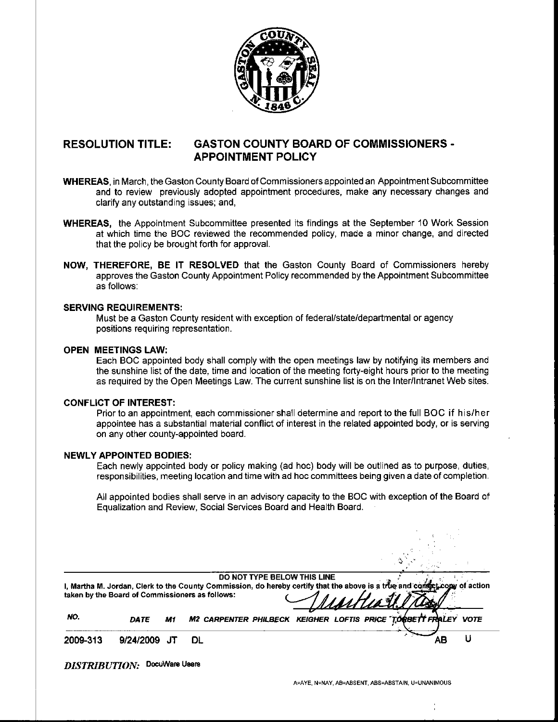

## RESOLUTION TITLE: GASTON COUNTY BOARD OF COMMISSIONERS - APPOINTMENT POLICY

- WHEREAS, in March, the Gaston County Board of Commissioners appointed an Appointment Subcommittee and to review previously adopted appointment procedures, make any necessary changes and clarify any outstanding issues; and,
- WHEREAS, the Appointment Subcommittee presented its findings at the September 10 Work Session at which time the BOC reviewed the recommended policy, made a minor change, and directed that the policy be brought forth for approval.
- NOW, THEREFORE, BE IT RESOLVED that the Gaston County Board of Commissioners hereby approves the Gaston County Appointment Policy recommended by the Appointment Subcommittee as follows:

## SERVING REQUIREMENTS:

Must be a Gaston County resident with exception of federal/state/departmental or agency positions requiring representation.

#### OPEN MEETINGS LAW:

Each BOC appointed body shall comply with the open meetings law by notifying its members and the sunshine list of the date, time and location of the meeting forty-eight hours prior to the meeting as required by the Open Meetings Law. The current sunshine list is on the Inter/Intranet Web sites.

## CONFLICT OF INTEREST:

Prior to an appointment, each commissioner shall determine and report to the full BOC if his/her appointee has a substantial material conflict of interest in the related appointed body, or is serving on any other county -appointed board.

#### NEWLY APPOINTED BODIES:

Each newly appointed body or policy making (ad hoc) body will be outlined as to purpose, duties, responsibilities, meeting location and time with ad hoc committees being given a date of completion.

All appointed bodies shall serve in an advisory capacity to the BOC with exception of the Board of Equalization and Review, Social Services Board and Health Board.

|          |             |    | DO NOT TYPE BELOW THIS LINE<br>I, Martha M. Jordan, Clerk to the County Commission, do hereby certify that the above is a true and comect come of action<br>taken by the Board of Commissioners as follows:<br><u>UNHIAU.</u> |    |  |
|----------|-------------|----|-------------------------------------------------------------------------------------------------------------------------------------------------------------------------------------------------------------------------------|----|--|
| NO.      | <b>DATE</b> | M1 | M2 CARPENTER PHILBECK KEIGHER LOFTIS PRICE TO BBETT FRALEY VOTE                                                                                                                                                               |    |  |
| 2009-313 | 9/24/2009   |    | DL                                                                                                                                                                                                                            | AΒ |  |

DISTRIBUTION: DocuWare Users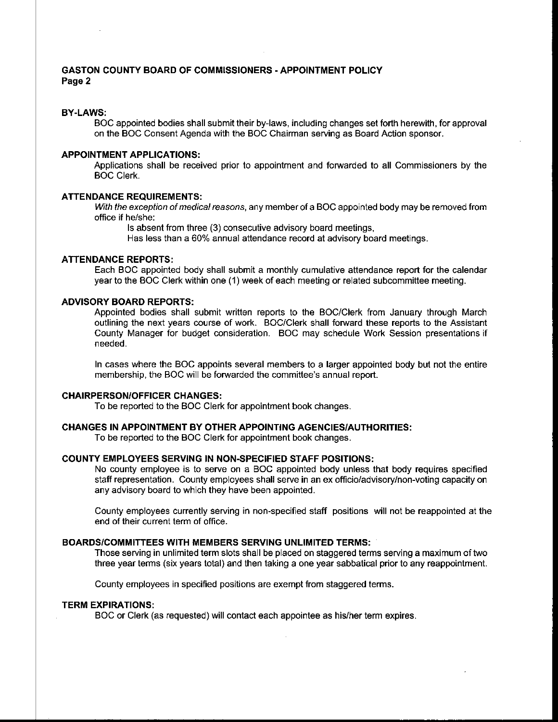## GASTON COUNTY BOARD OF COMMISSIONERS - APPOINTMENT POLICY Page 2

#### BY-LAWS:

BOC appointed bodies shall submit their by-laws, including changes set forth herewith, for approval on the BOC Consent Agenda with the BOC Chairman serving as Board Action sponsor.

#### APPOINTMENT APPLICATIONS:

Applications shall be received prior to appointment and forwarded to all Commissioners by the BOC Clerk.

#### ATTENDANCE REQUIREMENTS:

With the exception of medical reasons, any member of a BOC appointed body may be removed from office if he/she:

Is absent from three (3) consecutive advisory board meetings,

Has less than a 60% annual attendance record at advisory board meetings.

## ATTENDANCE REPORTS:

Each BOC appointed body shall submit a monthly cumulative attendance report for the calendar year to the BOC Clerk within one ( 1) week of each meeting or related subcommittee meeting.

## ADVISORY BOARD REPORTS:

Appointed bodies shall submit written reports to the BOC/Clerk from January through March outlining the next years course of work. BOC/ Clerk shall forward these reports to the Assistant County Manager for budget consideration. BOC may schedule Work Session presentations if needed.

In cases where the BOC appoints several members to a larger appointed body but not the entire membership, the BOC will be forwarded the committee's annual report.

#### CHAIRPERSON/OFFICER CHANGES:

To be reported to the BOC Clerk for appointment book changes.

## CHANGES IN APPOINTMENT BY OTHER APPOINTING AGENCIES/AUTHORITIES:

To be reported to the BOC Clerk for appointment book changes.

## COUNTY EMPLOYEES SERVING IN NON-SPECIFIED STAFF POSITIONS:

No county employee is to serve on a BOC appointed body unless that body requires specified staff representation. County employees shall serve in an ex officio/advisory/non- voting capacity on any advisory board to which they have been appointed.

County employees currently serving in non-specified staff positions will not be reappointed at the end of their current term of office.

#### BOARDS/COMMITTEES WITH MEMBERS SERVING UNLIMITED TERMS:

Those serving in unlimited term slots shall be placed on staggered terms serving a maximum of two three year terms (six years total) and then taking a one year sabbatical prior to any reappointment.

County employees in specified positions are exempt from staggered terms.

#### TERM EXPIRATIONS:

BOC or Clerk (as requested) will contact each appointee as his/her term expires.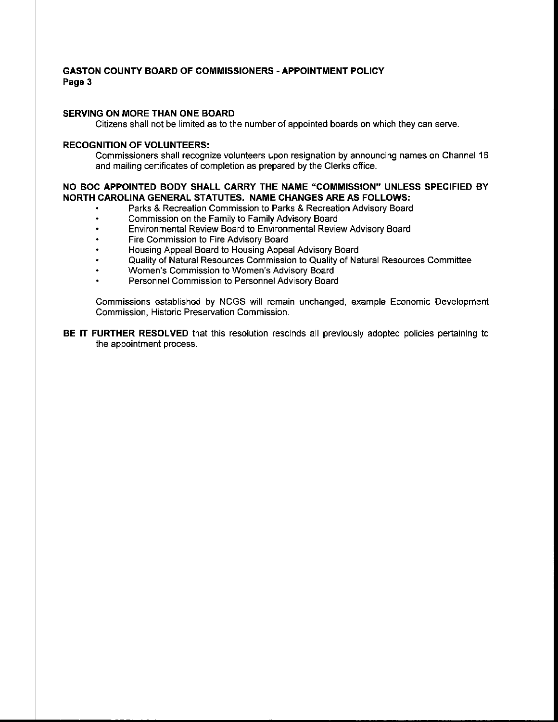## GASTON COUNTY BOARD OF COMMISSIONERS - APPOINTMENT POLICY Page 3

## SERVING ON MORE THAN ONE BOARD

Citizens shall not be limited as to the number of appointed boards on which they can serve.

## RECOGNITION OF VOLUNTEERS:

Commissioners shall recognize volunteers upon resignation by announcing names on Channel 16 and mailing certificates of completion as prepared by the Clerks office.

## NO BOC APPOINTED BODY SHALL CARRY THE NAME " COMMISSION" UNLESS SPECIFIED BY NORTH CAROLINA GENERAL STATUTES. NAME CHANGES ARE AS FOLLOWS:

- Parks & Recreation Commission to Parks & Recreation Advisory Board
- Commission on the Family to Family Advisory Board
- Environmental Review Board to Environmental Review Advisory Board  $\bullet$
- Fire Commission to Fire Advisory Board
- Housing Appeal Board to Housing Appeal Advisory Board
- Quality of Natural Resources Commission to Quality of Natural Resources Committee
- Women's Commission to Women's Advisory Board
- Personnel Commission to Personnel Advisory Board

Commissions established by NCGS will remain unchanged, example Economic Development Commission, Historic Preservation Commission.

BE IT FURTHER RESOLVED that this resolution rescinds all previously adopted policies pertaining to the appointment process.